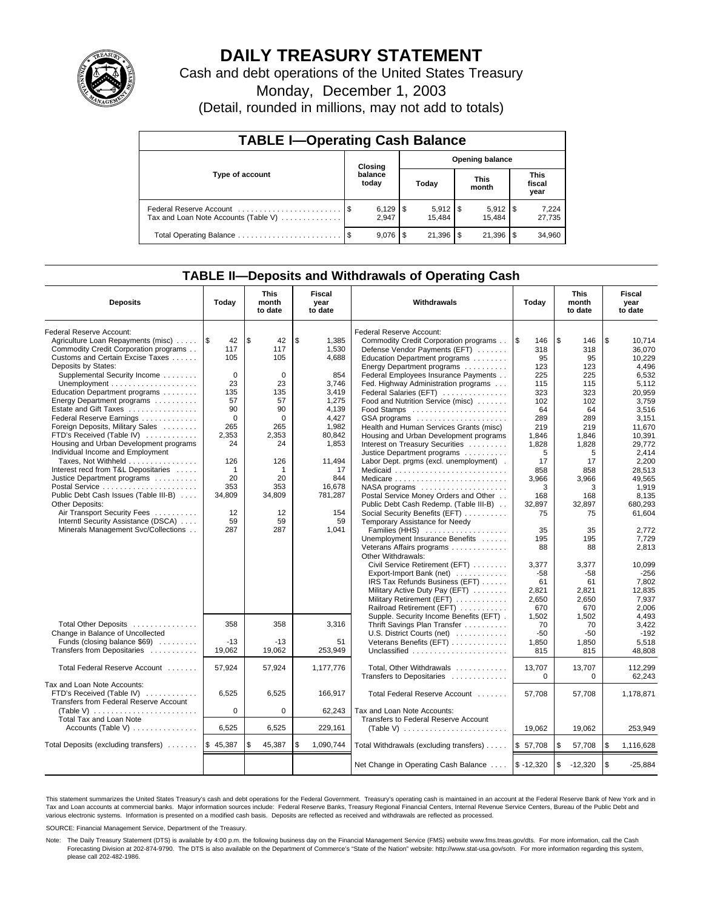

# **DAILY TREASURY STATEMENT**

Cash and debt operations of the United States Treasury

Monday, December 1, 2003

(Detail, rounded in millions, may not add to totals)

| <b>TABLE I-Operating Cash Balance</b>                           |    |                       |       |                        |                      |                       |                               |                 |  |  |
|-----------------------------------------------------------------|----|-----------------------|-------|------------------------|----------------------|-----------------------|-------------------------------|-----------------|--|--|
| Type of account                                                 |    | Closing               |       | <b>Opening balance</b> |                      |                       |                               |                 |  |  |
|                                                                 |    | balance<br>today      | Today |                        | <b>This</b><br>month |                       | <b>This</b><br>fiscal<br>year |                 |  |  |
| Federal Reserve Account<br>Tax and Loan Note Accounts (Table V) |    | $6,129$   \$<br>2.947 |       | $5,912$   \$<br>15.484 |                      | $5,912$ \\$<br>15.484 |                               | 7,224<br>27,735 |  |  |
|                                                                 | \$ | $9.076$ S             |       | $21,396$ \\$           |                      | 21,396                |                               | 34,960          |  |  |

## **TABLE II—Deposits and Withdrawals of Operating Cash**

| <b>Deposits</b>                                              | Today        | This<br>month<br>to date | Fiscal<br>Withdrawals<br>year<br>to date |                                                              | This<br>Today<br>month<br>to date |                         | Fiscal<br>year<br>to date |
|--------------------------------------------------------------|--------------|--------------------------|------------------------------------------|--------------------------------------------------------------|-----------------------------------|-------------------------|---------------------------|
| Federal Reserve Account:                                     |              |                          |                                          | Federal Reserve Account:                                     |                                   |                         |                           |
| Agriculture Loan Repayments (misc)                           | l\$<br>42    | \$<br>42                 | \$<br>1,385                              | Commodity Credit Corporation programs                        | $\overline{1s}$<br>146            | <b>S</b><br>146         | \$<br>10.714              |
| Commodity Credit Corporation programs                        | 117          | 117                      | 1,530                                    | Defense Vendor Payments (EFT)                                | 318                               | 318                     | 36,070                    |
| Customs and Certain Excise Taxes                             | 105          | 105                      | 4,688                                    | Education Department programs                                | 95                                | 95                      | 10.229                    |
| Deposits by States:                                          |              |                          |                                          | Energy Department programs                                   | 123                               | 123                     | 4.496                     |
| Supplemental Security Income                                 | $\Omega$     | $\mathbf 0$              | 854                                      | Federal Employees Insurance Payments                         | 225                               | 225                     | 6,532                     |
|                                                              | 23           | 23                       | 3,746                                    | Fed. Highway Administration programs                         | 115                               | 115                     | 5,112                     |
| Education Department programs                                | 135          | 135                      | 3,419                                    | Federal Salaries (EFT)                                       | 323                               | 323                     | 20,959                    |
| Energy Department programs                                   | 57           | 57                       | 1,275                                    | Food and Nutrition Service (misc)                            | 102                               | 102                     | 3,759                     |
| Estate and Gift Taxes                                        | 90           | 90                       | 4,139                                    | Food Stamps                                                  | 64                                | 64                      | 3,516                     |
| Federal Reserve Earnings                                     | $\mathbf 0$  | $\mathbf 0$              | 4,427                                    | GSA programs                                                 | 289                               | 289                     | 3,151                     |
| Foreign Deposits, Military Sales                             | 265          | 265                      | 1,982                                    | Health and Human Services Grants (misc)                      | 219                               | 219                     | 11.670                    |
| FTD's Received (Table IV)                                    | 2.353        | 2,353                    | 80.842                                   | Housing and Urban Development programs                       | 1.846                             | 1.846                   | 10.391                    |
| Housing and Urban Development programs                       | 24           | 24                       | 1,853                                    | Interest on Treasury Securities                              | 1,828                             | 1,828                   | 29.772                    |
| Individual Income and Employment                             |              |                          |                                          | Justice Department programs                                  | 5                                 | 5                       | 2,414                     |
| Taxes, Not Withheld                                          | 126          | 126                      | 11,494                                   | Labor Dept. prgms (excl. unemployment).                      | 17                                | 17                      | 2.200                     |
| Interest recd from T&L Depositaries                          | $\mathbf{1}$ | 1                        | 17                                       | Medicaid                                                     | 858                               | 858                     | 28.513                    |
| Justice Department programs                                  | 20           | 20                       | 844                                      | Medicare                                                     | 3,966                             | 3,966                   | 49,565                    |
| Postal Service                                               | 353          | 353                      | 16,678                                   | NASA programs                                                | 3                                 | 3                       | 1,919                     |
| Public Debt Cash Issues (Table III-B)                        | 34,809       | 34,809                   | 781,287                                  | Postal Service Money Orders and Other                        | 168                               | 168                     | 8.135                     |
| Other Deposits:                                              |              |                          |                                          | Public Debt Cash Redemp. (Table III-B)                       | 32,897                            | 32.897                  | 680.293                   |
| Air Transport Security Fees                                  | 12           | 12                       | 154                                      | Social Security Benefits (EFT)                               | 75                                | 75                      | 61,604                    |
| Interntl Security Assistance (DSCA)                          | 59           | 59                       | 59                                       | Temporary Assistance for Needy                               |                                   |                         |                           |
| Minerals Management Svc/Collections                          | 287          | 287                      | 1,041                                    | Families (HHS)                                               | 35                                | 35                      | 2.772                     |
|                                                              |              |                          |                                          | Unemployment Insurance Benefits                              | 195                               | 195                     | 7,729                     |
|                                                              |              |                          |                                          | Veterans Affairs programs                                    | 88                                | 88                      | 2,813                     |
|                                                              |              |                          |                                          | Other Withdrawals:                                           |                                   |                         |                           |
|                                                              |              |                          |                                          | Civil Service Retirement (EFT)                               | 3,377                             | 3,377                   | 10,099                    |
|                                                              |              |                          |                                          | Export-Import Bank (net)                                     | -58                               | $-58$                   | $-256$                    |
|                                                              |              |                          |                                          | IRS Tax Refunds Business (EFT)                               | 61                                | 61                      | 7.802                     |
|                                                              |              |                          |                                          | Military Active Duty Pay (EFT)                               | 2,821                             | 2,821                   | 12,835                    |
|                                                              |              |                          |                                          | Military Retirement (EFT)                                    | 2,650                             | 2,650                   | 7,937                     |
|                                                              |              |                          |                                          | Railroad Retirement (EFT)                                    | 670                               | 670                     | 2,006                     |
|                                                              |              |                          |                                          | Supple. Security Income Benefits (EFT).                      | 1,502                             | 1,502                   | 4,493                     |
| Total Other Deposits                                         | 358          | 358                      | 3,316                                    | Thrift Savings Plan Transfer                                 | 70                                | 70                      | 3,422                     |
| Change in Balance of Uncollected                             |              |                          |                                          | U.S. District Courts (net)                                   | $-50$                             | $-50$                   | $-192$                    |
| Funds (closing balance \$69)                                 | $-13$        | $-13$                    | 51                                       | Veterans Benefits (EFT)                                      | 1,850                             | 1,850                   | 5.518                     |
| Transfers from Depositaries                                  | 19,062       | 19,062                   | 253.949                                  | Unclassified                                                 | 815                               | 815                     | 48.808                    |
|                                                              |              |                          |                                          |                                                              |                                   |                         |                           |
| Total Federal Reserve Account                                | 57,924       | 57,924                   | 1,177,776                                | Total, Other Withdrawals                                     | 13,707                            | 13,707                  | 112,299                   |
|                                                              |              |                          |                                          | Transfers to Depositaries                                    | $\mathbf 0$                       | $\mathbf 0$             | 62.243                    |
| Tax and Loan Note Accounts:                                  |              |                          |                                          |                                                              |                                   |                         |                           |
| FTD's Received (Table IV)                                    | 6,525        | 6,525                    | 166,917                                  | Total Federal Reserve Account                                | 57.708                            | 57,708                  | 1,178,871                 |
| Transfers from Federal Reserve Account                       |              |                          |                                          |                                                              |                                   |                         |                           |
| (Table V) $\ldots \ldots \ldots \ldots \ldots \ldots \ldots$ | $\Omega$     | 0                        | 62,243                                   | Tax and Loan Note Accounts:                                  |                                   |                         |                           |
| Total Tax and Loan Note                                      |              |                          |                                          | Transfers to Federal Reserve Account                         |                                   |                         |                           |
| Accounts (Table V)                                           | 6,525        | 6,525                    | 229,161                                  | (Table V) $\ldots \ldots \ldots \ldots \ldots \ldots \ldots$ | 19,062                            | 19,062                  | 253,949                   |
|                                                              |              |                          |                                          |                                                              |                                   |                         |                           |
| Total Deposits (excluding transfers)                         | \$45,387     | \$<br>45,387             | \$<br>1,090,744                          | Total Withdrawals (excluding transfers)                      | \$57,708                          | <b>\$</b><br>57,708     | \$<br>1,116,628           |
|                                                              |              |                          |                                          |                                                              |                                   |                         |                           |
|                                                              |              |                          |                                          | Net Change in Operating Cash Balance                         | $$ -12,320$                       | $\sqrt{3}$<br>$-12,320$ | \$<br>$-25,884$           |

This statement summarizes the United States Treasury's cash and debt operations for the Federal Government. Treasury's operating cash is maintained in an account at the Federal Reserve Bank of New York and in Tax and Loan accounts at commercial banks. Major information sources include: Federal Reserve Banks, Treasury Regional Financial Centers, Internal Revenue Service Centers, Bureau of the Public Debt and<br>various electronic s

SOURCE: Financial Management Service, Department of the Treasury.

Note: The Daily Treasury Statement (DTS) is available by 4:00 p.m. the following business day on the Financial Management Service (FMS) website www.fms.treas.gov/dts. For more information, call the Cash Forecasting Division at 202-874-9790. The DTS is also available on the Department of Commerce's "State of the Nation" website: http://www.stat-usa.gov/sotn. For more information regarding this system, please call 202-482-1986.